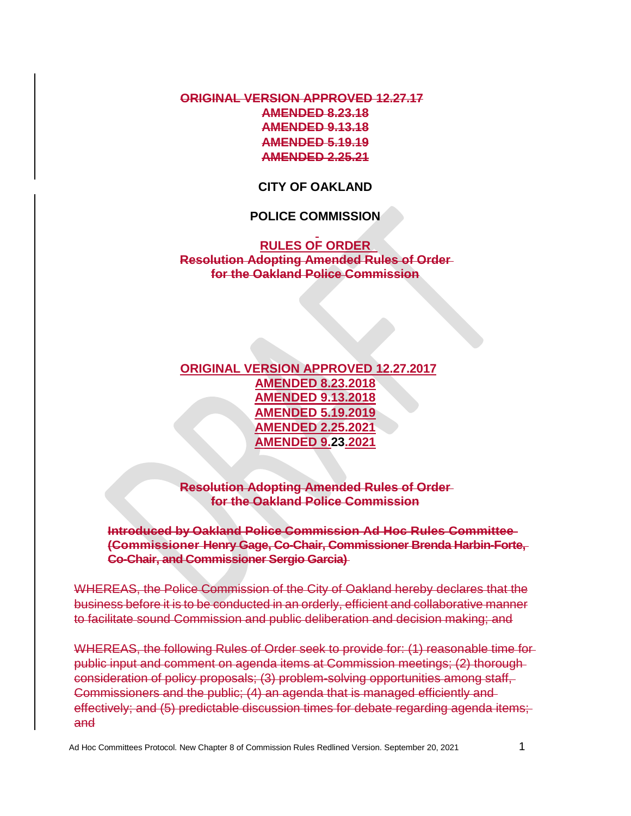**ORIGINAL VERSION APPROVED 12.27.17 AMENDED 8.23.18 AMENDED 9.13.18 AMENDED 5.19.19 AMENDED 2.25.21**

**CITY OF OAKLAND**

## **POLICE COMMISSION**

## **RULES OF ORDER Resolution Adopting Amended Rules of Order for the Oakland Police Commission**

**ORIGINAL VERSION APPROVED 12.27.2017 AMENDED 8.23.2018 AMENDED 9.13.2018 AMENDED 5.19.2019 AMENDED 2.25.2021 AMENDED 9.23.2021**

**Resolution Adopting Amended Rules of Order for the Oakland Police Commission**

**Introduced by Oakland Police Commission Ad Hoc Rules Committee (Commissioner Henry Gage, Co-Chair, Commissioner Brenda Harbin-Forte, Co-Chair, and Commissioner Sergio Garcia)** 

WHEREAS, the Police Commission of the City of Oakland hereby declares that the business before it is to be conducted in an orderly, efficient and collaborative manner to facilitate sound Commission and public deliberation and decision making; and

WHEREAS, the following Rules of Order seek to provide for: (1) reasonable time for public input and comment on agenda items at Commission meetings; (2) thorough consideration of policy proposals; (3) problem-solving opportunities among staff, Commissioners and the public; (4) an agenda that is managed efficiently and effectively; and (5) predictable discussion times for debate regarding agenda items; and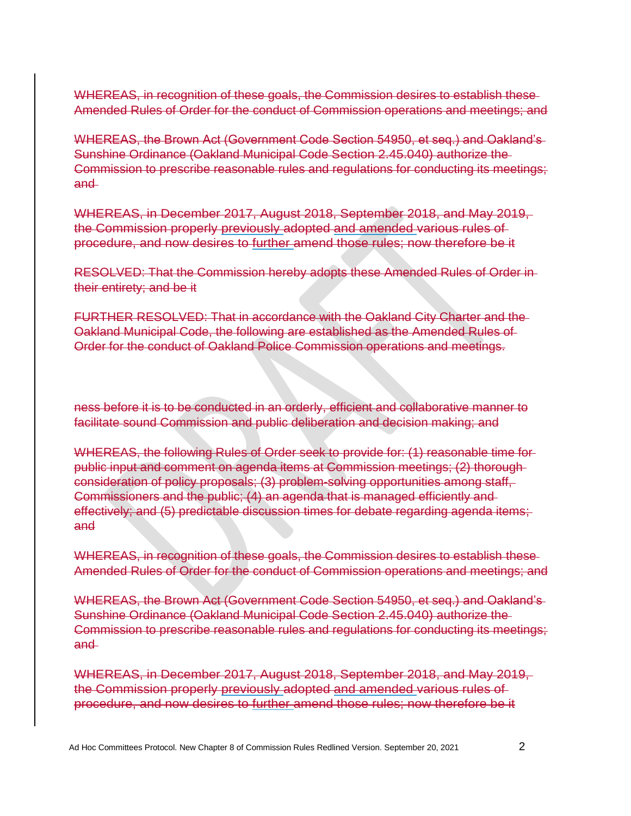WHEREAS, in recognition of these goals, the Commission desires to establish these Amended Rules of Order for the conduct of Commission operations and meetings; and

WHEREAS, the Brown Act (Government Code Section 54950, et seq.) and Oakland's Sunshine Ordinance (Oakland Municipal Code Section 2.45.040) authorize the Commission to prescribe reasonable rules and regulations for conducting its meetings; and

WHEREAS, in December 2017, August 2018, September 2018, and May 2019, the Commission properly previously adopted and amended various rules of procedure, and now desires to further amend those rules; now therefore be it

RESOLVED: That the Commission hereby adopts these Amended Rules of Order in their entirety; and be it

FURTHER RESOLVED: That in accordance with the Oakland City Charter and the Oakland Municipal Code, the following are established as the Amended Rules of Order for the conduct of Oakland Police Commission operations and meetings.

ness before it is to be conducted in an orderly, efficient and collaborative manner to facilitate sound Commission and public deliberation and decision making; and

WHEREAS, the following Rules of Order seek to provide for: (1) reasonable time for public input and comment on agenda items at Commission meetings; (2) thorough consideration of policy proposals; (3) problem-solving opportunities among staff, Commissioners and the public; (4) an agenda that is managed efficiently and effectively; and (5) predictable discussion times for debate regarding agenda items; and

WHEREAS, in recognition of these goals, the Commission desires to establish these Amended Rules of Order for the conduct of Commission operations and meetings; and

WHEREAS, the Brown Act (Government Code Section 54950, et seq.) and Oakland's Sunshine Ordinance (Oakland Municipal Code Section 2.45.040) authorize the Commission to prescribe reasonable rules and regulations for conducting its meetings; and

WHEREAS, in December 2017, August 2018, September 2018, and May 2019, the Commission properly previously adopted and amended various rules of procedure, and now desires to further amend those rules; now therefore be it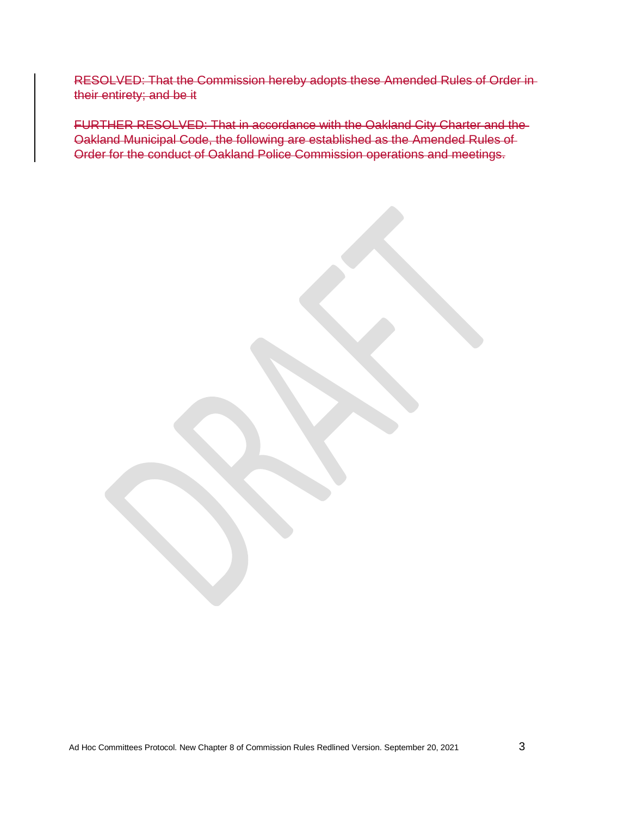RESOLVED: That the Commission hereby adopts these Amended Rules of Order in their entirety; and be it

FURTHER RESOLVED: That in accordance with the Oakland City Charter and the Oakland Municipal Code, the following are established as the Amended Rules of Order for the conduct of Oakland Police Commission operations and meetings.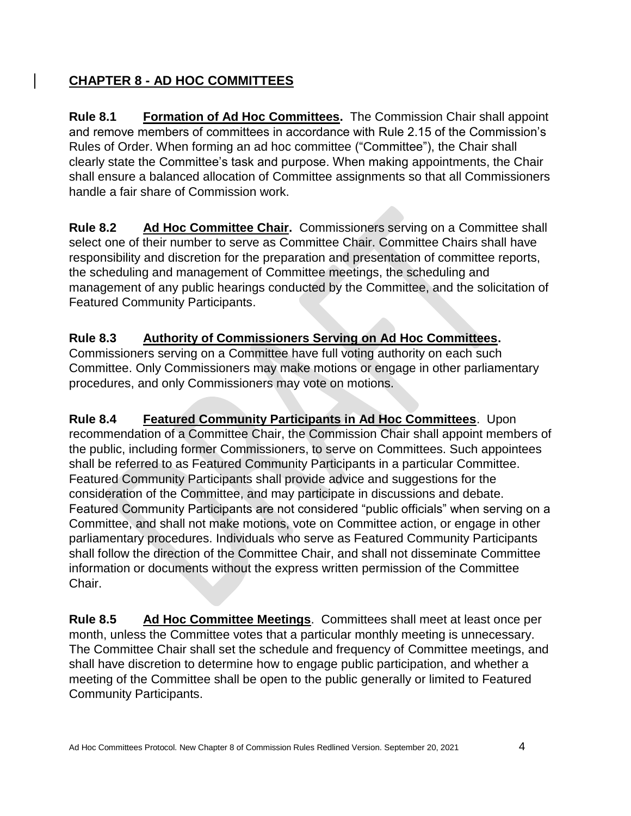## **CHAPTER 8 - AD HOC COMMITTEES**

**Rule 8.1 Formation of Ad Hoc Committees.** The Commission Chair shall appoint and remove members of committees in accordance with Rule 2.15 of the Commission's Rules of Order. When forming an ad hoc committee ("Committee"), the Chair shall clearly state the Committee's task and purpose. When making appointments, the Chair shall ensure a balanced allocation of Committee assignments so that all Commissioners handle a fair share of Commission work.

**Rule 8.2 Ad Hoc Committee Chair.** Commissioners serving on a Committee shall select one of their number to serve as Committee Chair. Committee Chairs shall have responsibility and discretion for the preparation and presentation of committee reports, the scheduling and management of Committee meetings, the scheduling and management of any public hearings conducted by the Committee, and the solicitation of Featured Community Participants.

## **Rule 8.3 Authority of Commissioners Serving on Ad Hoc Committees.**

Commissioners serving on a Committee have full voting authority on each such Committee. Only Commissioners may make motions or engage in other parliamentary procedures, and only Commissioners may vote on motions.

**Rule 8.4 Featured Community Participants in Ad Hoc Committees**. Upon recommendation of a Committee Chair, the Commission Chair shall appoint members of the public, including former Commissioners, to serve on Committees. Such appointees shall be referred to as Featured Community Participants in a particular Committee. Featured Community Participants shall provide advice and suggestions for the consideration of the Committee, and may participate in discussions and debate. Featured Community Participants are not considered "public officials" when serving on a Committee, and shall not make motions, vote on Committee action, or engage in other parliamentary procedures. Individuals who serve as Featured Community Participants shall follow the direction of the Committee Chair, and shall not disseminate Committee information or documents without the express written permission of the Committee Chair.

**Rule 8.5 Ad Hoc Committee Meetings**. Committees shall meet at least once per month, unless the Committee votes that a particular monthly meeting is unnecessary. The Committee Chair shall set the schedule and frequency of Committee meetings, and shall have discretion to determine how to engage public participation, and whether a meeting of the Committee shall be open to the public generally or limited to Featured Community Participants.